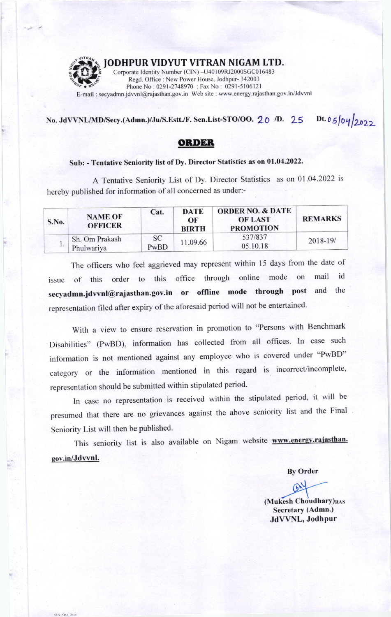

STO 2013

## JODHPUR VIDYUT VITRAN NIGAM LTD.

Corporate Identity Number (CIN) -U40109RJ2000SGC016483 Regd. Office: New Power House, Jodhpur- 342003 Phone No: 0291-2748970: Fax No: 0291-5106121 E-mail: secyadmn.jdvvnl@rajasthan.gov.in Web site: www.energy.rajasthan.gov.in/Jdvvnl

Dt. 05/04/2022 No. JdVVNL/MD/Secy.(Admn.)/Ju/S.Estt./F. Sen.List-STO/OO. 20 /D. 25

## **ORDER**

## Sub: - Tentative Seniority list of Dy. Director Statistics as on 01.04.2022.

A Tentative Seniority List of Dy. Director Statistics as on 01.04.2022 is hereby published for information of all concerned as under:-

| S.No. | <b>NAME OF</b><br><b>OFFICER</b> | Cat.              | DATE<br>OF<br><b>BIRTH</b> | <b>ORDER NO. &amp; DATE</b><br><b>OF LAST</b><br><b>PROMOTION</b> | <b>REMARKS</b> |
|-------|----------------------------------|-------------------|----------------------------|-------------------------------------------------------------------|----------------|
|       | Sh. Om Prakash<br>Phulwariya     | <b>SC</b><br>PwBD | 11.09.66                   | 537/837<br>05.10.18                                               | 2018-19/       |

The officers who feel aggrieved may represent within 15 days from the date of through online mode on mail id this office order to of this issue secyadmn.jdvvnl@rajasthan.gov.in or offline mode through post and the representation filed after expiry of the aforesaid period will not be entertained.

With a view to ensure reservation in promotion to "Persons with Benchmark Disabilities" (PwBD), information has collected from all offices. In case such information is not mentioned against any employee who is covered under "PwBD" category or the information mentioned in this regard is incorrect/incomplete, representation should be submitted within stipulated period.

In case no representation is received within the stipulated period, it will be presumed that there are no grievances against the above seniority list and the Final Seniority List will then be published.

This seniority list is also available on Nigam website www.energy.rajasthan. gov.in/Jdvvnl.

**By Order** 

 $Q_{\lambda}$ 

(Mukesh Choudhary)RAS Secretary (Admn.) JdVVNL, Jodhpur